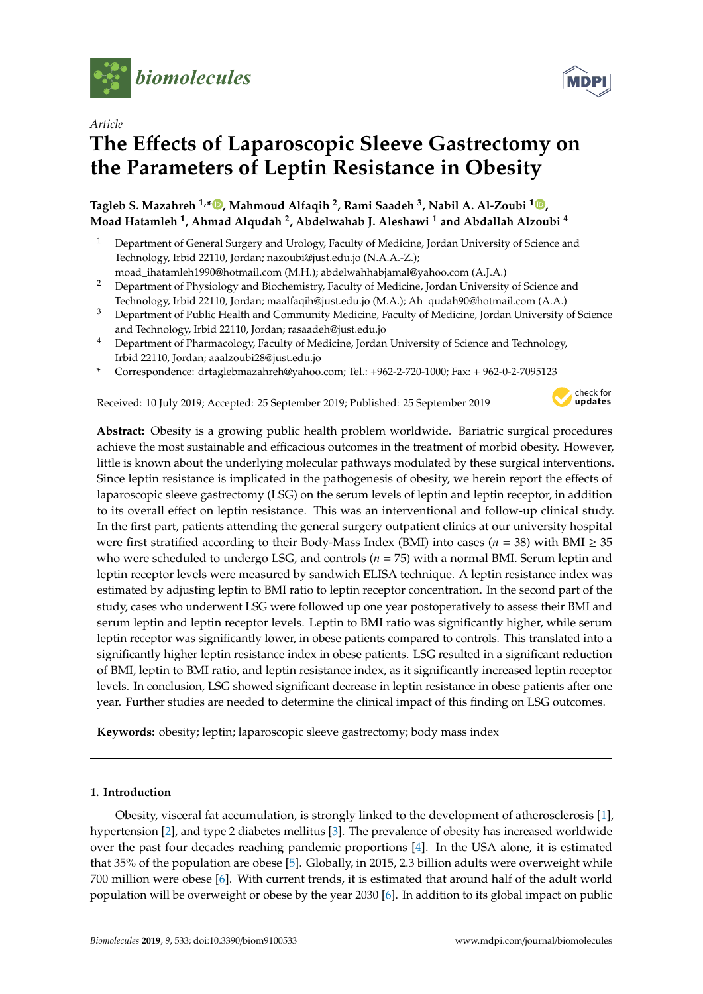

*Article*

# **The E**ff**ects of Laparoscopic Sleeve Gastrectomy on the Parameters of Leptin Resistance in Obesity**

# **Tagleb S. Mazahreh 1,\* , Mahmoud Alfaqih <sup>2</sup> , Rami Saadeh <sup>3</sup> , Nabil A. Al-Zoubi <sup>1</sup> , Moad Hatamleh <sup>1</sup> , Ahmad Alqudah <sup>2</sup> , Abdelwahab J. Aleshawi <sup>1</sup> and Abdallah Alzoubi <sup>4</sup>**

- <sup>1</sup> Department of General Surgery and Urology, Faculty of Medicine, Jordan University of Science and Technology, Irbid 22110, Jordan; nazoubi@just.edu.jo (N.A.A.-Z.);
- moad\_ihatamleh1990@hotmail.com (M.H.); abdelwahhabjamal@yahoo.com (A.J.A.) <sup>2</sup> Department of Physiology and Biochemistry, Faculty of Medicine, Jordan University of Science and Technology, Irbid 22110, Jordan; maalfaqih@just.edu.jo (M.A.); Ah\_qudah90@hotmail.com (A.A.)
- <sup>3</sup> Department of Public Health and Community Medicine, Faculty of Medicine, Jordan University of Science and Technology, Irbid 22110, Jordan; rasaadeh@just.edu.jo
- <sup>4</sup> Department of Pharmacology, Faculty of Medicine, Jordan University of Science and Technology, Irbid 22110, Jordan; aaalzoubi28@just.edu.jo
- **\*** Correspondence: drtaglebmazahreh@yahoo.com; Tel.: +962-2-720-1000; Fax: + 962-0-2-7095123

Received: 10 July 2019; Accepted: 25 September 2019; Published: 25 September 2019



**Abstract:** Obesity is a growing public health problem worldwide. Bariatric surgical procedures achieve the most sustainable and efficacious outcomes in the treatment of morbid obesity. However, little is known about the underlying molecular pathways modulated by these surgical interventions. Since leptin resistance is implicated in the pathogenesis of obesity, we herein report the effects of laparoscopic sleeve gastrectomy (LSG) on the serum levels of leptin and leptin receptor, in addition to its overall effect on leptin resistance. This was an interventional and follow-up clinical study. In the first part, patients attending the general surgery outpatient clinics at our university hospital were first stratified according to their Body-Mass Index (BMI) into cases ( $n = 38$ ) with BMI  $\geq 35$ who were scheduled to undergo LSG, and controls (*n* = 75) with a normal BMI. Serum leptin and leptin receptor levels were measured by sandwich ELISA technique. A leptin resistance index was estimated by adjusting leptin to BMI ratio to leptin receptor concentration. In the second part of the study, cases who underwent LSG were followed up one year postoperatively to assess their BMI and serum leptin and leptin receptor levels. Leptin to BMI ratio was significantly higher, while serum leptin receptor was significantly lower, in obese patients compared to controls. This translated into a significantly higher leptin resistance index in obese patients. LSG resulted in a significant reduction of BMI, leptin to BMI ratio, and leptin resistance index, as it significantly increased leptin receptor levels. In conclusion, LSG showed significant decrease in leptin resistance in obese patients after one year. Further studies are needed to determine the clinical impact of this finding on LSG outcomes.

**Keywords:** obesity; leptin; laparoscopic sleeve gastrectomy; body mass index

# **1. Introduction**

Obesity, visceral fat accumulation, is strongly linked to the development of atherosclerosis [1], hypertension [2], and type 2 diabetes mellitus [3]. The prevalence of obesity has increased worldwide over the past four decades reaching pandemic proportions [4]. In the USA alone, it is estimated that 35% of the population are obese [5]. Globally, in 2015, 2.3 billion adults were overweight while 700 million were obese [6]. With current trends, it is estimated that around half of the adult world population will be overweight or obese by the year 2030 [6]. In addition to its global impact on public

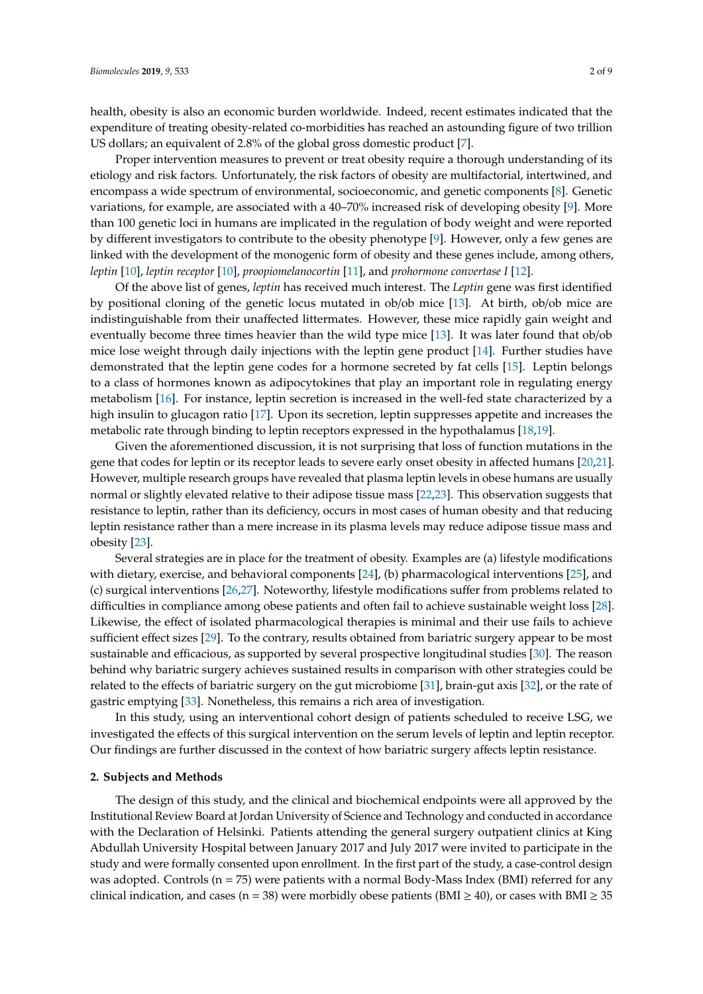health, obesity is also an economic burden worldwide. Indeed, recent estimates indicated that the expenditure of treating obesity-related co-morbidities has reached an astounding figure of two trillion US dollars; an equivalent of 2.8% of the global gross domestic product [7].

Proper intervention measures to prevent or treat obesity require a thorough understanding of its etiology and risk factors. Unfortunately, the risk factors of obesity are multifactorial, intertwined, and encompass a wide spectrum of environmental, socioeconomic, and genetic components [8]. Genetic variations, for example, are associated with a 40–70% increased risk of developing obesity [9]. More than 100 genetic loci in humans are implicated in the regulation of body weight and were reported by different investigators to contribute to the obesity phenotype [9]. However, only a few genes are linked with the development of the monogenic form of obesity and these genes include, among others, *leptin* [10], *leptin receptor* [10], *proopiomelanocortin* [11], and *prohormone convertase I* [12].

Of the above list of genes, *leptin* has received much interest. The *Leptin* gene was first identified by positional cloning of the genetic locus mutated in ob/ob mice [13]. At birth, ob/ob mice are indistinguishable from their unaffected littermates. However, these mice rapidly gain weight and eventually become three times heavier than the wild type mice [13]. It was later found that ob/ob mice lose weight through daily injections with the leptin gene product [14]. Further studies have demonstrated that the leptin gene codes for a hormone secreted by fat cells [15]. Leptin belongs to a class of hormones known as adipocytokines that play an important role in regulating energy metabolism [16]. For instance, leptin secretion is increased in the well-fed state characterized by a high insulin to glucagon ratio [17]. Upon its secretion, leptin suppresses appetite and increases the metabolic rate through binding to leptin receptors expressed in the hypothalamus [18,19].

Given the aforementioned discussion, it is not surprising that loss of function mutations in the gene that codes for leptin or its receptor leads to severe early onset obesity in affected humans [20,21]. However, multiple research groups have revealed that plasma leptin levels in obese humans are usually normal or slightly elevated relative to their adipose tissue mass [22,23]. This observation suggests that resistance to leptin, rather than its deficiency, occurs in most cases of human obesity and that reducing leptin resistance rather than a mere increase in its plasma levels may reduce adipose tissue mass and obesity [23].

Several strategies are in place for the treatment of obesity. Examples are (a) lifestyle modifications with dietary, exercise, and behavioral components [24], (b) pharmacological interventions [25], and (c) surgical interventions [26,27]. Noteworthy, lifestyle modifications suffer from problems related to difficulties in compliance among obese patients and often fail to achieve sustainable weight loss [28]. Likewise, the effect of isolated pharmacological therapies is minimal and their use fails to achieve sufficient effect sizes [29]. To the contrary, results obtained from bariatric surgery appear to be most sustainable and efficacious, as supported by several prospective longitudinal studies [30]. The reason behind why bariatric surgery achieves sustained results in comparison with other strategies could be related to the effects of bariatric surgery on the gut microbiome [31], brain-gut axis [32], or the rate of gastric emptying [33]. Nonetheless, this remains a rich area of investigation.

In this study, using an interventional cohort design of patients scheduled to receive LSG, we investigated the effects of this surgical intervention on the serum levels of leptin and leptin receptor. Our findings are further discussed in the context of how bariatric surgery affects leptin resistance.

#### **2. Subjects and Methods**

The design of this study, and the clinical and biochemical endpoints were all approved by the Institutional Review Board at Jordan University of Science and Technology and conducted in accordance with the Declaration of Helsinki. Patients attending the general surgery outpatient clinics at King Abdullah University Hospital between January 2017 and July 2017 were invited to participate in the study and were formally consented upon enrollment. In the first part of the study, a case-control design was adopted. Controls ( $n = 75$ ) were patients with a normal Body-Mass Index (BMI) referred for any clinical indication, and cases (n = 38) were morbidly obese patients (BMI  $\geq$  40), or cases with BMI  $\geq$  35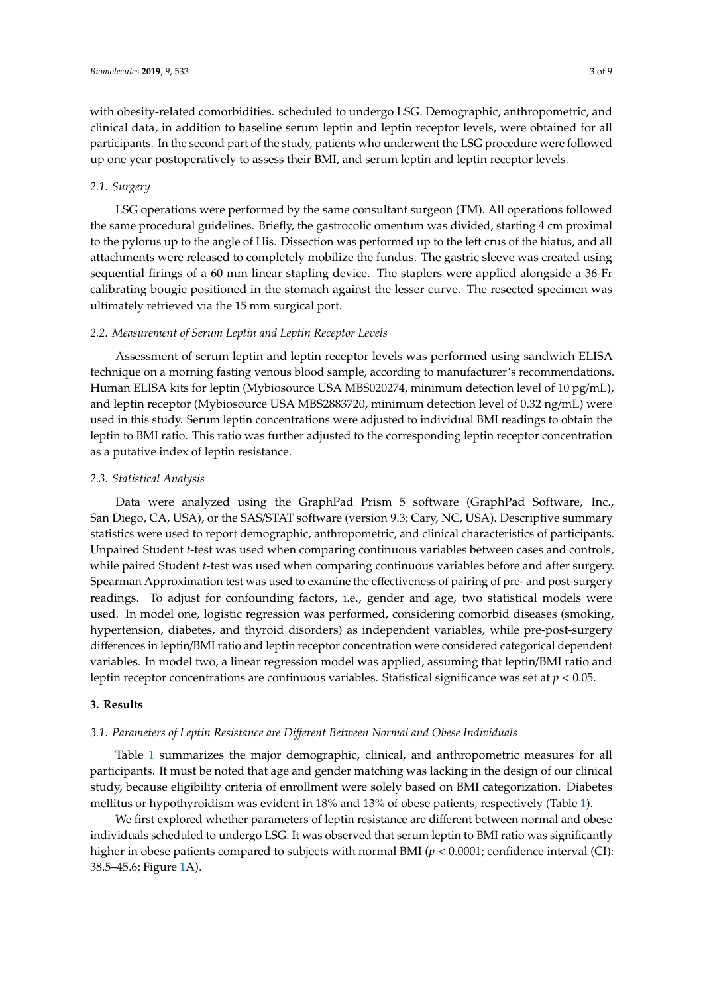with obesity-related comorbidities. scheduled to undergo LSG. Demographic, anthropometric, and clinical data, in addition to baseline serum leptin and leptin receptor levels, were obtained for all participants. In the second part of the study, patients who underwent the LSG procedure were followed up one year postoperatively to assess their BMI, and serum leptin and leptin receptor levels.

# *2.1. Surgery*

LSG operations were performed by the same consultant surgeon (TM). All operations followed the same procedural guidelines. Briefly, the gastrocolic omentum was divided, starting 4 cm proximal to the pylorus up to the angle of His. Dissection was performed up to the left crus of the hiatus, and all attachments were released to completely mobilize the fundus. The gastric sleeve was created using sequential firings of a 60 mm linear stapling device. The staplers were applied alongside a 36-Fr calibrating bougie positioned in the stomach against the lesser curve. The resected specimen was ultimately retrieved via the 15 mm surgical port.

# *2.2. Measurement of Serum Leptin and Leptin Receptor Levels*

Assessment of serum leptin and leptin receptor levels was performed using sandwich ELISA technique on a morning fasting venous blood sample, according to manufacturer's recommendations. Human ELISA kits for leptin (Mybiosource USA MBS020274, minimum detection level of 10 pg/mL), and leptin receptor (Mybiosource USA MBS2883720, minimum detection level of 0.32 ng/mL) were used in this study. Serum leptin concentrations were adjusted to individual BMI readings to obtain the leptin to BMI ratio. This ratio was further adjusted to the corresponding leptin receptor concentration as a putative index of leptin resistance.

# *2.3. Statistical Analysis*

Data were analyzed using the GraphPad Prism 5 software (GraphPad Software, Inc., San Diego, CA, USA), or the SAS/STAT software (version 9.3; Cary, NC, USA). Descriptive summary statistics were used to report demographic, anthropometric, and clinical characteristics of participants. Unpaired Student *t*-test was used when comparing continuous variables between cases and controls, while paired Student *t*-test was used when comparing continuous variables before and after surgery. Spearman Approximation test was used to examine the effectiveness of pairing of pre- and post-surgery readings. To adjust for confounding factors, i.e., gender and age, two statistical models were used. In model one, logistic regression was performed, considering comorbid diseases (smoking, hypertension, diabetes, and thyroid disorders) as independent variables, while pre-post-surgery differences in leptin/BMI ratio and leptin receptor concentration were considered categorical dependent variables. In model two, a linear regression model was applied, assuming that leptin/BMI ratio and leptin receptor concentrations are continuous variables. Statistical significance was set at *p* < 0.05.

# **3. Results**

## *3.1. Parameters of Leptin Resistance are Di*ff*erent Between Normal and Obese Individuals*

Table 1 summarizes the major demographic, clinical, and anthropometric measures for all participants. It must be noted that age and gender matching was lacking in the design of our clinical study, because eligibility criteria of enrollment were solely based on BMI categorization. Diabetes mellitus or hypothyroidism was evident in 18% and 13% of obese patients, respectively (Table 1).

We first explored whether parameters of leptin resistance are different between normal and obese individuals scheduled to undergo LSG. It was observed that serum leptin to BMI ratio was significantly higher in obese patients compared to subjects with normal BMI ( $p < 0.0001$ ; confidence interval (CI): 38.5–45.6; Figure 1A).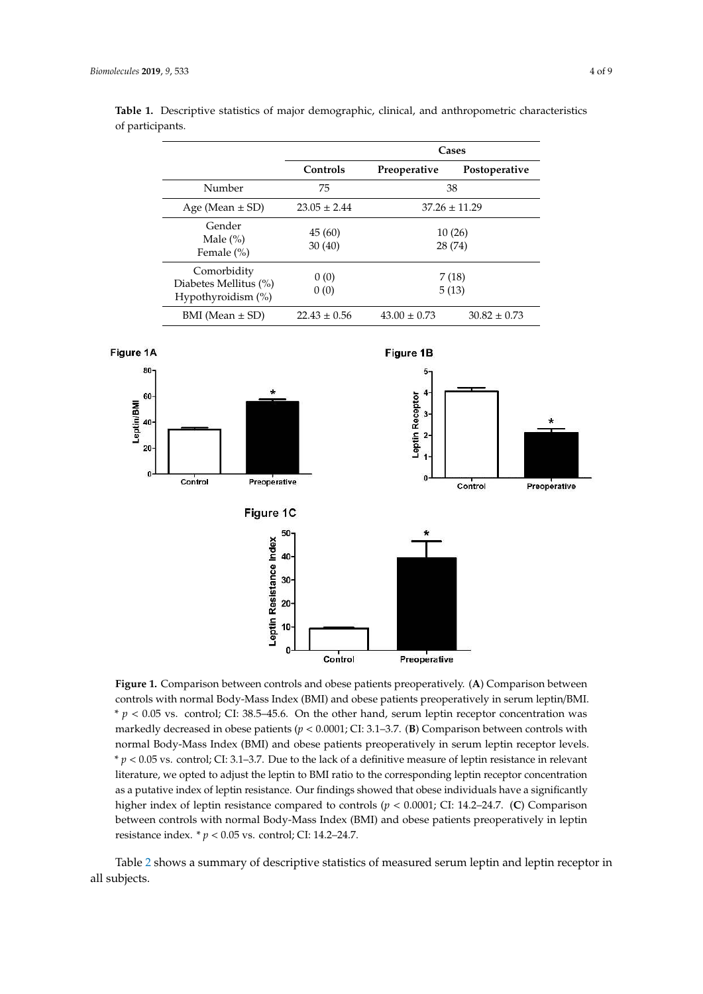|                                                               |                  | Cases             |                  |  |
|---------------------------------------------------------------|------------------|-------------------|------------------|--|
|                                                               | Controls         | Preoperative      | Postoperative    |  |
| Number                                                        | 75               | 38                |                  |  |
| Age (Mean $\pm$ SD)                                           | $23.05 \pm 2.44$ | $37.26 \pm 11.29$ |                  |  |
| Gender<br>Male $(\% )$<br>Female $(\% )$                      | 45(60)<br>30(40) | 10(26)<br>28 (74) |                  |  |
| Comorbidity<br>Diabetes Mellitus (%)<br>Hypothyroidism $(\%)$ | 0(0)<br>0(0)     | 7(18)<br>5(13)    |                  |  |
| $BMI (Mean \pm SD)$                                           | $22.43 \pm 0.56$ | $43.00 \pm 0.73$  | $30.82 \pm 0.73$ |  |

**Table 1.** Descriptive statistics of major demographic, clinical, and anthropometric characteristics of participants.



**Figure 1.** Comparison between controls and obese patients preoperatively. (**A**) Comparison between controls with normal Body-Mass Index (BMI) and obese patients preoperatively in serum leptin/BMI.  $* p < 0.05$  vs. control; CI: 38.5–45.6. On the other hand, serum leptin receptor concentration was markedly decreased in obese patients (*p* < 0.0001; CI: 3.1–3.7. (**B**) Comparison between controls with normal Body-Mass Index (BMI) and obese patients preoperatively in serum leptin receptor levels. \* *p* < 0.05 vs. control; CI: 3.1–3.7. Due to the lack of a definitive measure of leptin resistance in relevant literature, we opted to adjust the leptin to BMI ratio to the corresponding leptin receptor concentration as a putative index of leptin resistance. Our findings showed that obese individuals have a significantly higher index of leptin resistance compared to controls (*p* < 0.0001; CI: 14.2–24.7. (**C**) Comparison between controls with normal Body-Mass Index (BMI) and obese patients preoperatively in leptin resistance index. \* *p* < 0.05 vs. control; CI: 14.2–24.7.

Table 2 shows a summary of descriptive statistics of measured serum leptin and leptin receptor in all subjects.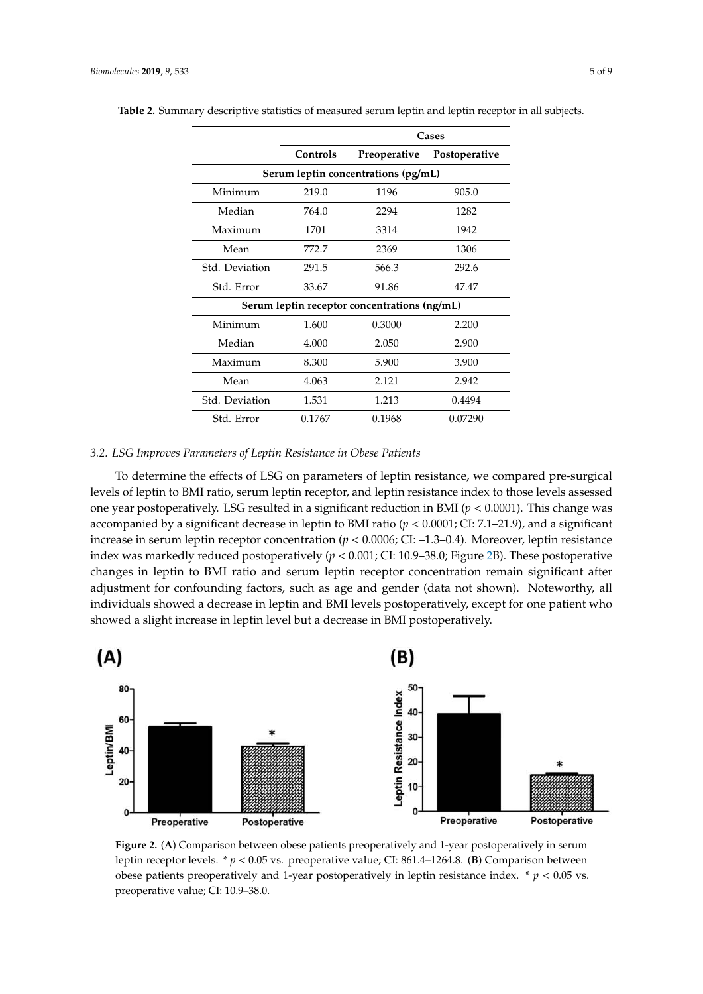|                |          | Cases                                        |               |
|----------------|----------|----------------------------------------------|---------------|
|                | Controls | Preoperative                                 | Postoperative |
|                |          | Serum leptin concentrations (pg/mL)          |               |
| Minimum        | 219.0    | 1196                                         | 905.0         |
| Median         | 764.0    | 2294                                         | 1282          |
| Maximum        | 1701     | 3314                                         | 1942          |
| Mean           | 772.7    | 2369                                         | 1306          |
| Std. Deviation | 291.5    | 566.3                                        | 292.6         |
| Std. Error     | 33.67    | 91.86                                        | 47.47         |
|                |          | Serum leptin receptor concentrations (ng/mL) |               |
| Minimum        | 1.600    | 0.3000                                       | 2.200         |
| Median         | 4.000    | 2.050                                        | 2.900         |
| Maximum        | 8.300    | 5.900                                        | 3.900         |
| Mean           | 4.063    | 2.121                                        | 2.942         |
| Std. Deviation | 1.531    | 1.213                                        | 0.4494        |
| Std. Error     | 0.1767   | 0.1968                                       | 0.07290       |

**Table 2.** Summary descriptive statistics of measured serum leptin and leptin receptor in all subjects.

# *3.2. LSG Improves Parameters of Leptin Resistance in Obese Patients*

To determine the effects of LSG on parameters of leptin resistance, we compared pre-surgical levels of leptin to BMI ratio, serum leptin receptor, and leptin resistance index to those levels assessed one year postoperatively. LSG resulted in a significant reduction in BMI ( $p < 0.0001$ ). This change was accompanied by a significant decrease in leptin to BMI ratio (*p* < 0.0001; CI: 7.1–21.9), and a significant increase in serum leptin receptor concentration (*p* < 0.0006; CI: –1.3–0.4). Moreover, leptin resistance index was markedly reduced postoperatively (*p* < 0.001; CI: 10.9–38.0; Figure 2B). These postoperative changes in leptin to BMI ratio and serum leptin receptor concentration remain significant after adjustment for confounding factors, such as age and gender (data not shown). Noteworthy, all individuals showed a decrease in leptin and BMI levels postoperatively, except for one patient who showed a slight increase in leptin level but a decrease in BMI postoperatively.



**Figure 2.** (**A**) Comparison between obese patients preoperatively and 1-year postoperatively in serum leptin receptor levels. \* *p* < 0.05 vs. preoperative value; CI: 861.4–1264.8. (**B**) Comparison between obese patients preoperatively and 1-year postoperatively in leptin resistance index.  $* p < 0.05$  vs. preoperative value; CI: 10.9–38.0.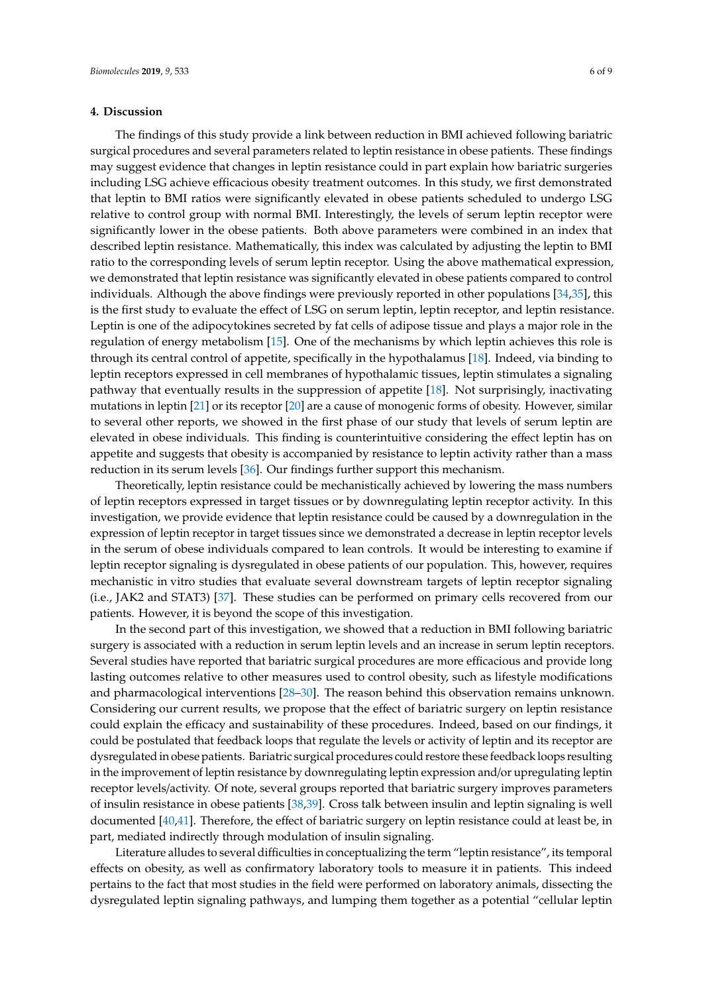# **4. Discussion**

The findings of this study provide a link between reduction in BMI achieved following bariatric surgical procedures and several parameters related to leptin resistance in obese patients. These findings may suggest evidence that changes in leptin resistance could in part explain how bariatric surgeries including LSG achieve efficacious obesity treatment outcomes. In this study, we first demonstrated that leptin to BMI ratios were significantly elevated in obese patients scheduled to undergo LSG relative to control group with normal BMI. Interestingly, the levels of serum leptin receptor were significantly lower in the obese patients. Both above parameters were combined in an index that described leptin resistance. Mathematically, this index was calculated by adjusting the leptin to BMI ratio to the corresponding levels of serum leptin receptor. Using the above mathematical expression, we demonstrated that leptin resistance was significantly elevated in obese patients compared to control individuals. Although the above findings were previously reported in other populations [34,35], this is the first study to evaluate the effect of LSG on serum leptin, leptin receptor, and leptin resistance. Leptin is one of the adipocytokines secreted by fat cells of adipose tissue and plays a major role in the regulation of energy metabolism [15]. One of the mechanisms by which leptin achieves this role is through its central control of appetite, specifically in the hypothalamus [18]. Indeed, via binding to leptin receptors expressed in cell membranes of hypothalamic tissues, leptin stimulates a signaling pathway that eventually results in the suppression of appetite [18]. Not surprisingly, inactivating mutations in leptin [21] or its receptor [20] are a cause of monogenic forms of obesity. However, similar to several other reports, we showed in the first phase of our study that levels of serum leptin are elevated in obese individuals. This finding is counterintuitive considering the effect leptin has on appetite and suggests that obesity is accompanied by resistance to leptin activity rather than a mass

Theoretically, leptin resistance could be mechanistically achieved by lowering the mass numbers of leptin receptors expressed in target tissues or by downregulating leptin receptor activity. In this investigation, we provide evidence that leptin resistance could be caused by a downregulation in the expression of leptin receptor in target tissues since we demonstrated a decrease in leptin receptor levels in the serum of obese individuals compared to lean controls. It would be interesting to examine if leptin receptor signaling is dysregulated in obese patients of our population. This, however, requires mechanistic in vitro studies that evaluate several downstream targets of leptin receptor signaling (i.e., JAK2 and STAT3) [37]. These studies can be performed on primary cells recovered from our patients. However, it is beyond the scope of this investigation.

reduction in its serum levels [36]. Our findings further support this mechanism.

In the second part of this investigation, we showed that a reduction in BMI following bariatric surgery is associated with a reduction in serum leptin levels and an increase in serum leptin receptors. Several studies have reported that bariatric surgical procedures are more efficacious and provide long lasting outcomes relative to other measures used to control obesity, such as lifestyle modifications and pharmacological interventions [28–30]. The reason behind this observation remains unknown. Considering our current results, we propose that the effect of bariatric surgery on leptin resistance could explain the efficacy and sustainability of these procedures. Indeed, based on our findings, it could be postulated that feedback loops that regulate the levels or activity of leptin and its receptor are dysregulated in obese patients. Bariatric surgical procedures could restore these feedback loops resulting in the improvement of leptin resistance by downregulating leptin expression and/or upregulating leptin receptor levels/activity. Of note, several groups reported that bariatric surgery improves parameters of insulin resistance in obese patients [38,39]. Cross talk between insulin and leptin signaling is well documented [40,41]. Therefore, the effect of bariatric surgery on leptin resistance could at least be, in part, mediated indirectly through modulation of insulin signaling.

Literature alludes to several difficulties in conceptualizing the term "leptin resistance", its temporal effects on obesity, as well as confirmatory laboratory tools to measure it in patients. This indeed pertains to the fact that most studies in the field were performed on laboratory animals, dissecting the dysregulated leptin signaling pathways, and lumping them together as a potential "cellular leptin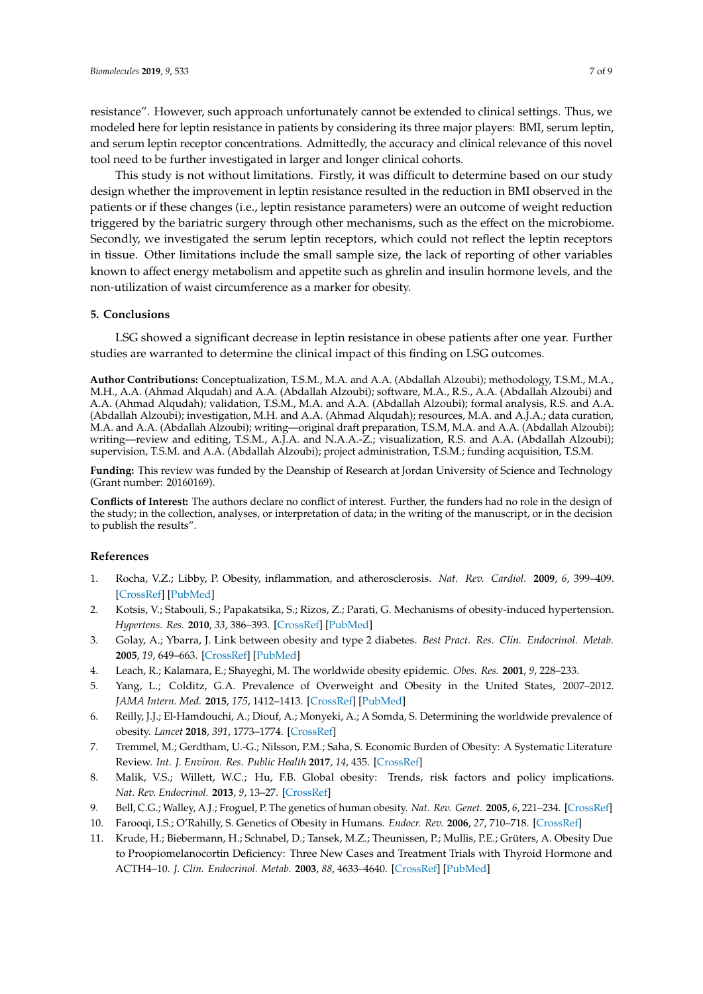resistance". However, such approach unfortunately cannot be extended to clinical settings. Thus, we modeled here for leptin resistance in patients by considering its three major players: BMI, serum leptin, and serum leptin receptor concentrations. Admittedly, the accuracy and clinical relevance of this novel tool need to be further investigated in larger and longer clinical cohorts.

This study is not without limitations. Firstly, it was difficult to determine based on our study design whether the improvement in leptin resistance resulted in the reduction in BMI observed in the patients or if these changes (i.e., leptin resistance parameters) were an outcome of weight reduction triggered by the bariatric surgery through other mechanisms, such as the effect on the microbiome. Secondly, we investigated the serum leptin receptors, which could not reflect the leptin receptors in tissue. Other limitations include the small sample size, the lack of reporting of other variables known to affect energy metabolism and appetite such as ghrelin and insulin hormone levels, and the non-utilization of waist circumference as a marker for obesity.

# **5. Conclusions**

LSG showed a significant decrease in leptin resistance in obese patients after one year. Further studies are warranted to determine the clinical impact of this finding on LSG outcomes.

**Author Contributions:** Conceptualization, T.S.M., M.A. and A.A. (Abdallah Alzoubi); methodology, T.S.M., M.A., M.H., A.A. (Ahmad Alqudah) and A.A. (Abdallah Alzoubi); software, M.A., R.S., A.A. (Abdallah Alzoubi) and A.A. (Ahmad Alqudah); validation, T.S.M., M.A. and A.A. (Abdallah Alzoubi); formal analysis, R.S. and A.A. (Abdallah Alzoubi); investigation, M.H. and A.A. (Ahmad Alqudah); resources, M.A. and A.J.A.; data curation, M.A. and A.A. (Abdallah Alzoubi); writing—original draft preparation, T.S.M, M.A. and A.A. (Abdallah Alzoubi); writing—review and editing, T.S.M., A.J.A. and N.A.A.-Z.; visualization, R.S. and A.A. (Abdallah Alzoubi); supervision, T.S.M. and A.A. (Abdallah Alzoubi); project administration, T.S.M.; funding acquisition, T.S.M.

**Funding:** This review was funded by the Deanship of Research at Jordan University of Science and Technology (Grant number: 20160169).

**Conflicts of Interest:** The authors declare no conflict of interest. Further, the funders had no role in the design of the study; in the collection, analyses, or interpretation of data; in the writing of the manuscript, or in the decision to publish the results".

#### **References**

- 1. Rocha, V.Z.; Libby, P. Obesity, inflammation, and atherosclerosis. *Nat. Rev. Cardiol.* **2009**, *6*, 399–409. [CrossRef] [PubMed]
- 2. Kotsis, V.; Stabouli, S.; Papakatsika, S.; Rizos, Z.; Parati, G. Mechanisms of obesity-induced hypertension. *Hypertens. Res.* **2010**, *33*, 386–393. [CrossRef] [PubMed]
- 3. Golay, A.; Ybarra, J. Link between obesity and type 2 diabetes. *Best Pract. Res. Clin. Endocrinol. Metab.* **2005**, *19*, 649–663. [CrossRef] [PubMed]
- 4. Leach, R.; Kalamara, E.; Shayeghi, M. The worldwide obesity epidemic. *Obes. Res.* **2001**, *9*, 228–233.
- 5. Yang, L.; Colditz, G.A. Prevalence of Overweight and Obesity in the United States, 2007–2012. *JAMA Intern. Med.* **2015**, *175*, 1412–1413. [CrossRef] [PubMed]
- 6. Reilly, J.J.; El-Hamdouchi, A.; Diouf, A.; Monyeki, A.; A Somda, S. Determining the worldwide prevalence of obesity. *Lancet* **2018**, *391*, 1773–1774. [CrossRef]
- 7. Tremmel, M.; Gerdtham, U.-G.; Nilsson, P.M.; Saha, S. Economic Burden of Obesity: A Systematic Literature Review. *Int. J. Environ. Res. Public Health* **2017**, *14*, 435. [CrossRef]
- 8. Malik, V.S.; Willett, W.C.; Hu, F.B. Global obesity: Trends, risk factors and policy implications. *Nat. Rev. Endocrinol.* **2013**, *9*, 13–27. [CrossRef]
- 9. Bell, C.G.; Walley, A.J.; Froguel, P. The genetics of human obesity. *Nat. Rev. Genet.* **2005**, *6*, 221–234. [CrossRef]
- 10. Farooqi, I.S.; O'Rahilly, S. Genetics of Obesity in Humans. *Endocr. Rev.* **2006**, *27*, 710–718. [CrossRef]
- 11. Krude, H.; Biebermann, H.; Schnabel, D.; Tansek, M.Z.; Theunissen, P.; Mullis, P.E.; Grüters, A. Obesity Due to Proopiomelanocortin Deficiency: Three New Cases and Treatment Trials with Thyroid Hormone and ACTH4–10. *J. Clin. Endocrinol. Metab.* **2003**, *88*, 4633–4640. [CrossRef] [PubMed]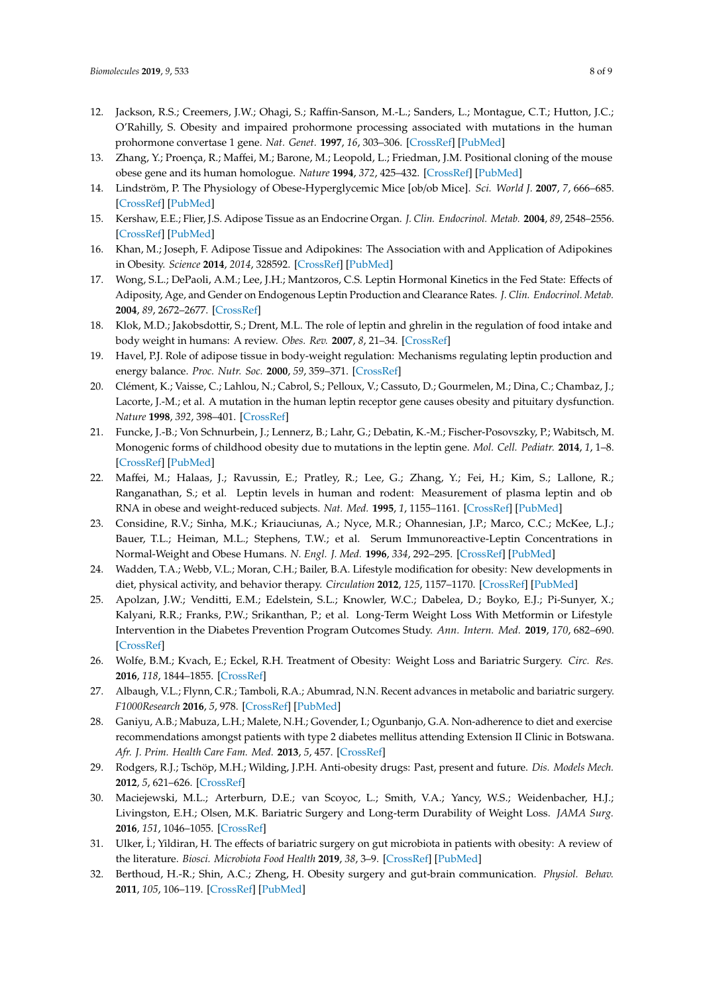- 12. Jackson, R.S.; Creemers, J.W.; Ohagi, S.; Raffin-Sanson, M.-L.; Sanders, L.; Montague, C.T.; Hutton, J.C.; O'Rahilly, S. Obesity and impaired prohormone processing associated with mutations in the human prohormone convertase 1 gene. *Nat. Genet.* **1997**, *16*, 303–306. [CrossRef] [PubMed]
- 13. Zhang, Y.; Proença, R.; Maffei, M.; Barone, M.; Leopold, L.; Friedman, J.M. Positional cloning of the mouse obese gene and its human homologue. *Nature* **1994**, *372*, 425–432. [CrossRef] [PubMed]
- 14. Lindström, P. The Physiology of Obese-Hyperglycemic Mice [ob/ob Mice]. *Sci. World J.* **2007**, *7*, 666–685. [CrossRef] [PubMed]
- 15. Kershaw, E.E.; Flier, J.S. Adipose Tissue as an Endocrine Organ. *J. Clin. Endocrinol. Metab.* **2004**, *89*, 2548–2556. [CrossRef] [PubMed]
- 16. Khan, M.; Joseph, F. Adipose Tissue and Adipokines: The Association with and Application of Adipokines in Obesity. *Science* **2014**, *2014*, 328592. [CrossRef] [PubMed]
- 17. Wong, S.L.; DePaoli, A.M.; Lee, J.H.; Mantzoros, C.S. Leptin Hormonal Kinetics in the Fed State: Effects of Adiposity, Age, and Gender on Endogenous Leptin Production and Clearance Rates. *J. Clin. Endocrinol. Metab.* **2004**, *89*, 2672–2677. [CrossRef]
- 18. Klok, M.D.; Jakobsdottir, S.; Drent, M.L. The role of leptin and ghrelin in the regulation of food intake and body weight in humans: A review. *Obes. Rev.* **2007**, *8*, 21–34. [CrossRef]
- 19. Havel, P.J. Role of adipose tissue in body-weight regulation: Mechanisms regulating leptin production and energy balance. *Proc. Nutr. Soc.* **2000**, *59*, 359–371. [CrossRef]
- 20. Clément, K.; Vaisse, C.; Lahlou, N.; Cabrol, S.; Pelloux, V.; Cassuto, D.; Gourmelen, M.; Dina, C.; Chambaz, J.; Lacorte, J.-M.; et al. A mutation in the human leptin receptor gene causes obesity and pituitary dysfunction. *Nature* **1998**, *392*, 398–401. [CrossRef]
- 21. Funcke, J.-B.; Von Schnurbein, J.; Lennerz, B.; Lahr, G.; Debatin, K.-M.; Fischer-Posovszky, P.; Wabitsch, M. Monogenic forms of childhood obesity due to mutations in the leptin gene. *Mol. Cell. Pediatr.* **2014**, *1*, 1–8. [CrossRef] [PubMed]
- 22. Maffei, M.; Halaas, J.; Ravussin, E.; Pratley, R.; Lee, G.; Zhang, Y.; Fei, H.; Kim, S.; Lallone, R.; Ranganathan, S.; et al. Leptin levels in human and rodent: Measurement of plasma leptin and ob RNA in obese and weight-reduced subjects. *Nat. Med.* **1995**, *1*, 1155–1161. [CrossRef] [PubMed]
- 23. Considine, R.V.; Sinha, M.K.; Kriauciunas, A.; Nyce, M.R.; Ohannesian, J.P.; Marco, C.C.; McKee, L.J.; Bauer, T.L.; Heiman, M.L.; Stephens, T.W.; et al. Serum Immunoreactive-Leptin Concentrations in Normal-Weight and Obese Humans. *N. Engl. J. Med.* **1996**, *334*, 292–295. [CrossRef] [PubMed]
- 24. Wadden, T.A.; Webb, V.L.; Moran, C.H.; Bailer, B.A. Lifestyle modification for obesity: New developments in diet, physical activity, and behavior therapy. *Circulation* **2012**, *125*, 1157–1170. [CrossRef] [PubMed]
- 25. Apolzan, J.W.; Venditti, E.M.; Edelstein, S.L.; Knowler, W.C.; Dabelea, D.; Boyko, E.J.; Pi-Sunyer, X.; Kalyani, R.R.; Franks, P.W.; Srikanthan, P.; et al. Long-Term Weight Loss With Metformin or Lifestyle Intervention in the Diabetes Prevention Program Outcomes Study. *Ann. Intern. Med.* **2019**, *170*, 682–690. [CrossRef]
- 26. Wolfe, B.M.; Kvach, E.; Eckel, R.H. Treatment of Obesity: Weight Loss and Bariatric Surgery. *Circ. Res.* **2016**, *118*, 1844–1855. [CrossRef]
- 27. Albaugh, V.L.; Flynn, C.R.; Tamboli, R.A.; Abumrad, N.N. Recent advances in metabolic and bariatric surgery. *F1000Research* **2016**, *5*, 978. [CrossRef] [PubMed]
- 28. Ganiyu, A.B.; Mabuza, L.H.; Malete, N.H.; Govender, I.; Ogunbanjo, G.A. Non-adherence to diet and exercise recommendations amongst patients with type 2 diabetes mellitus attending Extension II Clinic in Botswana. *Afr. J. Prim. Health Care Fam. Med.* **2013**, *5*, 457. [CrossRef]
- 29. Rodgers, R.J.; Tschöp, M.H.; Wilding, J.P.H. Anti-obesity drugs: Past, present and future. *Dis. Models Mech.* **2012**, *5*, 621–626. [CrossRef]
- 30. Maciejewski, M.L.; Arterburn, D.E.; van Scoyoc, L.; Smith, V.A.; Yancy, W.S.; Weidenbacher, H.J.; Livingston, E.H.; Olsen, M.K. Bariatric Surgery and Long-term Durability of Weight Loss. *JAMA Surg.* **2016**, *151*, 1046–1055. [CrossRef]
- 31. Ulker, İ.; Yildiran, H. The effects of bariatric surgery on gut microbiota in patients with obesity: A review of the literature. *Biosci. Microbiota Food Health* **2019**, *38*, 3–9. [CrossRef] [PubMed]
- 32. Berthoud, H.-R.; Shin, A.C.; Zheng, H. Obesity surgery and gut-brain communication. *Physiol. Behav.* **2011**, *105*, 106–119. [CrossRef] [PubMed]